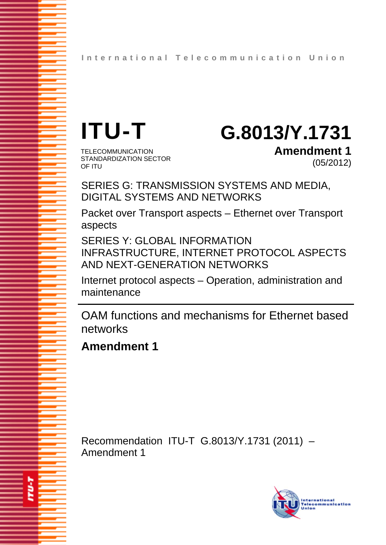**ITU-T G.8013/Y.1731**

TELECOMMUNICATION STANDARDIZATION SECTOR OF ITU

**Amendment 1** (05/2012)

SERIES G: TRANSMISSION SYSTEMS AND MEDIA, DIGITAL SYSTEMS AND NETWORKS

Packet over Transport aspects – Ethernet over Transport aspects

SERIES Y: GLOBAL INFORMATION INFRASTRUCTURE, INTERNET PROTOCOL ASPECTS AND NEXT-GENERATION NETWORKS

Internet protocol aspects – Operation, administration and maintenance

OAM functions and mechanisms for Ethernet based networks

**Amendment 1** 

š

Recommendation ITU-T G.8013/Y.1731 (2011) – Amendment 1

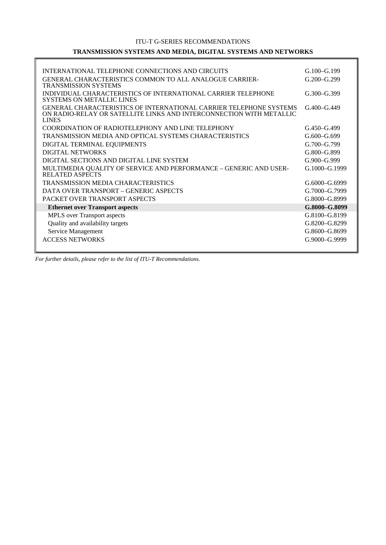#### **TRANSMISSION SYSTEMS AND MEDIA, DIGITAL SYSTEMS AND NETWORKS**

| INTERNATIONAL TELEPHONE CONNECTIONS AND CIRCUITS                                                                                                          | $G.100 - G.199$   |
|-----------------------------------------------------------------------------------------------------------------------------------------------------------|-------------------|
| GENERAL CHARACTERISTICS COMMON TO ALL ANALOGUE CARRIER-<br><b>TRANSMISSION SYSTEMS</b>                                                                    | $G.200 - G.299$   |
| INDIVIDUAL CHARACTERISTICS OF INTERNATIONAL CARRIER TELEPHONE<br><b>SYSTEMS ON METALLIC LINES</b>                                                         | $G.300 - G.399$   |
| GENERAL CHARACTERISTICS OF INTERNATIONAL CARRIER TELEPHONE SYSTEMS<br>ON RADIO-RELAY OR SATELLITE LINKS AND INTERCONNECTION WITH METALLIC<br><b>LINES</b> | $G.400 - G.449$   |
| COORDINATION OF RADIOTEL EPHONY AND LINE TELEPHONY                                                                                                        | $G.450 - G.499$   |
| TRANSMISSION MEDIA AND OPTICAL SYSTEMS CHARACTERISTICS                                                                                                    | $G.600 - G.699$   |
| DIGITAL TERMINAL EQUIPMENTS                                                                                                                               | $G.700 - G.799$   |
| <b>DIGITAL NETWORKS</b>                                                                                                                                   | $G.800 - G.899$   |
| DIGITAL SECTIONS AND DIGITAL LINE SYSTEM                                                                                                                  | $G.900-G.999$     |
| MULTIMEDIA QUALITY OF SERVICE AND PERFORMANCE – GENERIC AND USER-<br><b>RELATED ASPECTS</b>                                                               | G.1000-G.1999     |
| TRANSMISSION MEDIA CHARACTERISTICS                                                                                                                        | $G.6000 - G.6999$ |
| DATA OVER TRANSPORT – GENERIC ASPECTS                                                                                                                     | G.7000-G.7999     |
| PACKET OVER TRANSPORT ASPECTS                                                                                                                             | G.8000-G.8999     |
| <b>Ethernet over Transport aspects</b>                                                                                                                    | G.8000-G.8099     |
| <b>MPLS</b> over Transport aspects                                                                                                                        | G.8100-G.8199     |
| Quality and availability targets                                                                                                                          | G.8200-G.8299     |
| Service Management                                                                                                                                        | G.8600-G.8699     |
| <b>ACCESS NETWORKS</b>                                                                                                                                    | $G.9000 - G.9999$ |
|                                                                                                                                                           |                   |

*For further details, please refer to the list of ITU-T Recommendations.*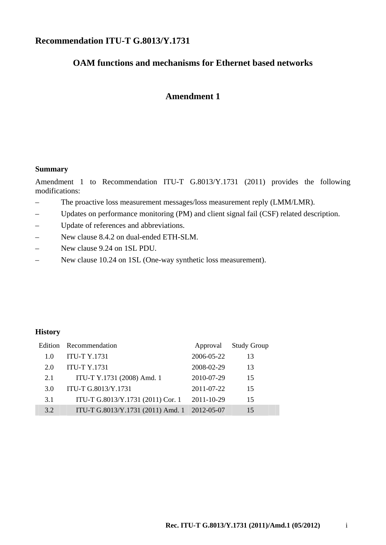# **Recommendation ITU-T G.8013/Y.1731**

# **OAM functions and mechanisms for Ethernet based networks**

# **Amendment 1**

#### **Summary**

Amendment 1 to Recommendation ITU-T G.8013/Y.1731 (2011) provides the following modifications:

- The proactive loss measurement messages/loss measurement reply (LMM/LMR).
- Updates on performance monitoring (PM) and client signal fail (CSF) related description.
- Update of references and abbreviations.
- New clause 8.4.2 on dual-ended ETH-SLM.
- New clause 9.24 on 1SL PDU.
- New clause 10.24 on 1SL (One-way synthetic loss measurement).

#### **History**

|     | Edition Recommendation            | Approval         | <b>Study Group</b> |
|-----|-----------------------------------|------------------|--------------------|
| 1.0 | <b>ITU-T Y.1731</b>               | 2006-05-22       | 13                 |
| 2.0 | <b>ITU-T Y.1731</b>               | 2008-02-29       | 13                 |
| 2.1 | ITU-T Y.1731 (2008) Amd. 1        | 2010-07-29       | 15                 |
| 3.0 | <b>ITU-T G.8013/Y.1731</b>        | 2011-07-22       | 15                 |
| 3.1 | ITU-T G.8013/Y.1731 (2011) Cor. 1 | $2011 - 10 - 29$ | 15                 |
| 3.2 | ITU-T G.8013/Y.1731 (2011) Amd. 1 | 2012-05-07       | 15                 |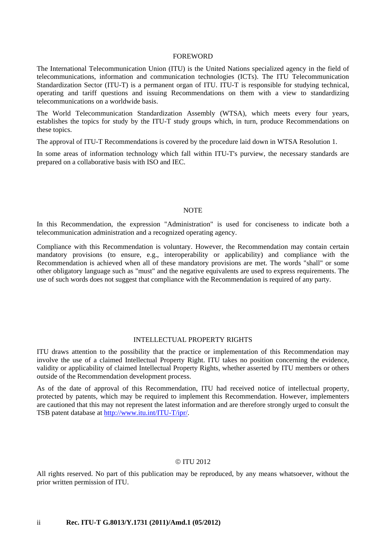#### FOREWORD

The International Telecommunication Union (ITU) is the United Nations specialized agency in the field of telecommunications, information and communication technologies (ICTs). The ITU Telecommunication Standardization Sector (ITU-T) is a permanent organ of ITU. ITU-T is responsible for studying technical, operating and tariff questions and issuing Recommendations on them with a view to standardizing telecommunications on a worldwide basis.

The World Telecommunication Standardization Assembly (WTSA), which meets every four years, establishes the topics for study by the ITU-T study groups which, in turn, produce Recommendations on these topics.

The approval of ITU-T Recommendations is covered by the procedure laid down in WTSA Resolution 1.

In some areas of information technology which fall within ITU-T's purview, the necessary standards are prepared on a collaborative basis with ISO and IEC.

#### NOTE

In this Recommendation, the expression "Administration" is used for conciseness to indicate both a telecommunication administration and a recognized operating agency.

Compliance with this Recommendation is voluntary. However, the Recommendation may contain certain mandatory provisions (to ensure, e.g., interoperability or applicability) and compliance with the Recommendation is achieved when all of these mandatory provisions are met. The words "shall" or some other obligatory language such as "must" and the negative equivalents are used to express requirements. The use of such words does not suggest that compliance with the Recommendation is required of any party.

#### INTELLECTUAL PROPERTY RIGHTS

ITU draws attention to the possibility that the practice or implementation of this Recommendation may involve the use of a claimed Intellectual Property Right. ITU takes no position concerning the evidence, validity or applicability of claimed Intellectual Property Rights, whether asserted by ITU members or others outside of the Recommendation development process.

As of the date of approval of this Recommendation, ITU had received notice of intellectual property, protected by patents, which may be required to implement this Recommendation. However, implementers are cautioned that this may not represent the latest information and are therefore strongly urged to consult the TSB patent database at [http://www.itu.int/ITU-T/ipr/.](http://www.itu.int/ITU-T/ipr/) 

#### ITU 2012

All rights reserved. No part of this publication may be reproduced, by any means whatsoever, without the prior written permission of ITU.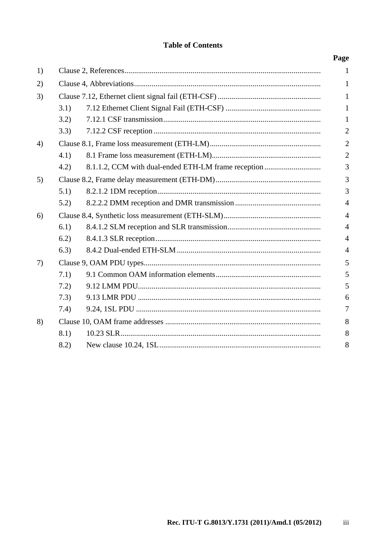#### **Table of Contents**

|    |      |                                                     | Page           |
|----|------|-----------------------------------------------------|----------------|
| 1) |      |                                                     | 1              |
| 2) |      |                                                     | 1              |
| 3) |      |                                                     | $\mathbf{1}$   |
|    | 3.1) |                                                     | 1              |
|    | 3.2) |                                                     | 1              |
|    | 3.3) |                                                     | $\overline{2}$ |
| 4) |      |                                                     | $\overline{2}$ |
|    | 4.1) |                                                     | $\overline{2}$ |
|    | 4.2) | 8.1.1.2, CCM with dual-ended ETH-LM frame reception | 3              |
| 5) |      |                                                     | 3              |
|    | 5.1) |                                                     | 3              |
|    | 5.2) |                                                     | 4              |
| 6) |      |                                                     | $\overline{4}$ |
|    | 6.1) |                                                     | 4              |
|    | 6.2) |                                                     | 4              |
|    | 6.3) |                                                     | 4              |
| 7) |      |                                                     | 5              |
|    | 7.1) |                                                     | 5              |
|    | 7.2) |                                                     | 5              |
|    | 7.3) |                                                     | 6              |
|    | 7.4) |                                                     | 7              |
| 8) |      |                                                     | 8              |
|    | 8.1) |                                                     | 8              |
|    | 8.2) |                                                     | 8              |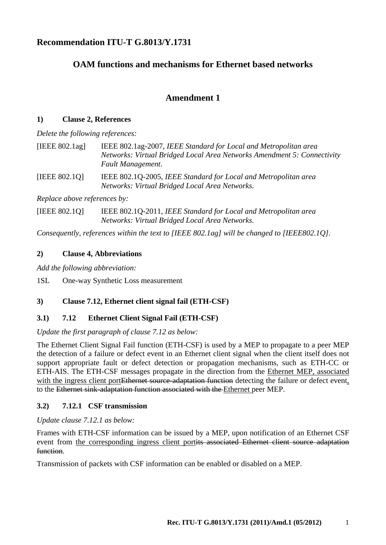# **Recommendation ITU-T G.8013/Y.1731**

# **OAM functions and mechanisms for Ethernet based networks**

# **Amendment 1**

#### **1) Clause 2, References**

*Delete the following references:* 

[IEEE 802.1ag] IEEE 802.1ag-2007, *IEEE Standard for Local and Metropolitan area Networks: Virtual Bridged Local Area Networks Amendment 5: Connectivity Fault Management*.

[IEEE 802.1Q] IEEE 802.1Q-2005, *IEEE Standard for Local and Metropolitan area Networks: Virtual Bridged Local Area Networks*.

*Replace above references by:* 

[IEEE 802.1Q] IEEE 802.1Q-2011, *IEEE Standard for Local and Metropolitan area Networks: Virtual Bridged Local Area Networks*.

*Consequently, references within the text to [IEEE 802.1ag] will be changed to [IEEE802.1Q].* 

#### **2) Clause 4, Abbreviations**

*Add the following abbreviation:* 

1SL One-way Synthetic Loss measurement

#### **3) Clause 7.12, Ethernet client signal fail (ETH-CSF)**

#### **3.1) 7.12 Ethernet Client Signal Fail (ETH-CSF)**

#### *Update the first paragraph of clause 7.12 as below:*

The Ethernet Client Signal Fail function (ETH-CSF) is used by a MEP to propagate to a peer MEP the detection of a failure or defect event in an Ethernet client signal when the client itself does not support appropriate fault or defect detection or propagation mechanisms, such as ETH-CC or ETH-AIS. The ETH-CSF messages propagate in the direction from the Ethernet MEP, associated with the ingress client portEthernet source-adaptation function detecting the failure or defect event, to the Ethernet sink-adaptation function associated with the Ethernet peer MEP.

#### **3.2) 7.12.1 CSF transmission**

#### *Update clause 7.12.1 as below:*

Frames with ETH-CSF information can be issued by a MEP, upon notification of an Ethernet CSF event from the corresponding ingress client portits associated Ethernet client source adaptation function.

Transmission of packets with CSF information can be enabled or disabled on a MEP.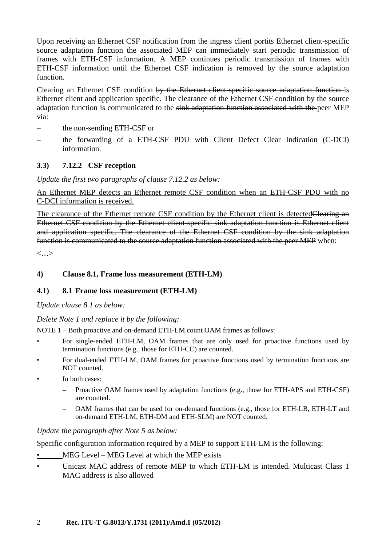Upon receiving an Ethernet CSF notification from the ingress client portits Ethernet client-specific source adaptation function the associated MEP can immediately start periodic transmission of frames with ETH-CSF information. A MEP continues periodic transmission of frames with ETH-CSF information until the Ethernet CSF indication is removed by the source adaptation function.

Clearing an Ethernet CSF condition by the Ethernet client-specific source adaptation function is Ethernet client and application specific. The clearance of the Ethernet CSF condition by the source adaptation function is communicated to the sink adaptation function associated with the peer MEP via:

- the non-sending ETH-CSF or
- the forwarding of a ETH-CSF PDU with Client Defect Clear Indication (C-DCI) information.

# **3.3) 7.12.2 CSF reception**

*Update the first two paragraphs of clause 7.12.2 as below:* 

#### An Ethernet MEP detects an Ethernet remote CSF condition when an ETH-CSF PDU with no C-DCI information is received.

The clearance of the Ethernet remote CSF condition by the Ethernet client is detectedClearing an Ethernet CSF condition by the Ethernet client-specific sink adaptation function is Ethernet client and application specific. The clearance of the Ethernet CSF condition by the sink adaptation function is communicated to the source adaptation function associated with the peer MEP when:

<…>

## **4) Clause 8.1, Frame loss measurement (ETH-LM)**

## **4.1) 8.1 Frame loss measurement (ETH-LM)**

## *Update clause 8.1 as below:*

## *Delete Note 1 and replace it by the following:*

NOTE 1 – Both proactive and on-demand ETH-LM count OAM frames as follows:

- For single-ended ETH-LM, OAM frames that are only used for proactive functions used by termination functions (e.g., those for ETH-CC) are counted.
- For dual-ended ETH-LM, OAM frames for proactive functions used by termination functions are NOT counted.
- In both cases:
	- Proactive OAM frames used by adaptation functions (e.g., those for ETH-APS and ETH-CSF) are counted.
	- OAM frames that can be used for on-demand functions (e.g., those for ETH-LB, ETH-LT and on-demand ETH-LM, ETH-DM and ETH-SLM) are NOT counted.

## *Update the paragraph after Note 5 as below:*

Specific configuration information required by a MEP to support ETH-LM is the following:

- MEG Level MEG Level at which the MEP exists
- Unicast MAC address of remote MEP to which ETH-LM is intended. Multicast Class 1 MAC address is also allowed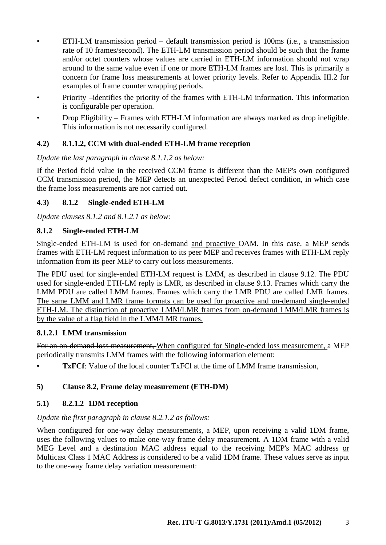- ETH-LM transmission period default transmission period is 100ms (i.e., a transmission rate of 10 frames/second). The ETH-LM transmission period should be such that the frame and/or octet counters whose values are carried in ETH-LM information should not wrap around to the same value even if one or more ETH-LM frames are lost. This is primarily a concern for frame loss measurements at lower priority levels. Refer to Appendix III.2 for examples of frame counter wrapping periods.
- Priority –identifies the priority of the frames with ETH-LM information. This information is configurable per operation.
- Drop Eligibility Frames with ETH-LM information are always marked as drop ineligible. This information is not necessarily configured.

# **4.2) 8.1.1.2, CCM with dual-ended ETH-LM frame reception**

### *Update the last paragraph in clause 8.1.1.2 as below:*

If the Period field value in the received CCM frame is different than the MEP's own configured CCM transmission period, the MEP detects an unexpected Period defect condition, in which case the frame loss measurements are not carried out.

### **4.3) 8.1.2 Single-ended ETH-LM**

*Update clauses 8.1.2 and 8.1.2.1 as below:* 

### **8.1.2 Single-ended ETH-LM**

Single-ended ETH-LM is used for on-demand and proactive OAM. In this case, a MEP sends frames with ETH-LM request information to its peer MEP and receives frames with ETH-LM reply information from its peer MEP to carry out loss measurements.

The PDU used for single-ended ETH-LM request is LMM, as described in clause 9.12. The PDU used for single-ended ETH-LM reply is LMR, as described in clause 9.13. Frames which carry the LMM PDU are called LMM frames. Frames which carry the LMR PDU are called LMR frames. The same LMM and LMR frame formats can be used for proactive and on-demand single-ended ETH-LM. The distinction of proactive LMM/LMR frames from on-demand LMM/LMR frames is by the value of a flag field in the LMM/LMR frames.

#### **8.1.2.1 LMM transmission**

For an on-demand loss measurement, When configured for Single-ended loss measurement, a MEP periodically transmits LMM frames with the following information element:

**TxFCf**: Value of the local counter TxFCl at the time of LMM frame transmission,

## **5) Clause 8.2, Frame delay measurement (ETH-DM)**

#### **5.1) 8.2.1.2 1DM reception**

#### *Update the first paragraph in clause 8.2.1.2 as follows:*

When configured for one-way delay measurements, a MEP, upon receiving a valid 1DM frame, uses the following values to make one-way frame delay measurement. A 1DM frame with a valid MEG Level and a destination MAC address equal to the receiving MEP's MAC address or Multicast Class 1 MAC Address is considered to be a valid 1DM frame. These values serve as input to the one-way frame delay variation measurement: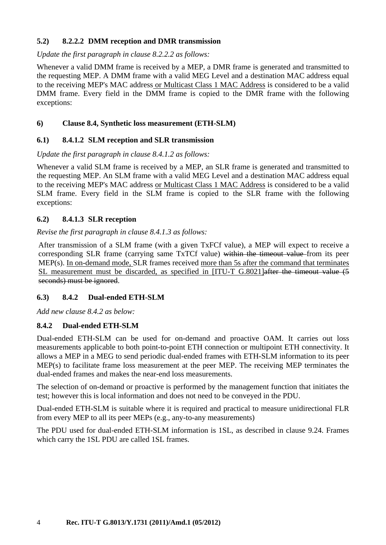#### **5.2) 8.2.2.2 DMM reception and DMR transmission**

#### *Update the first paragraph in clause 8.2.2.2 as follows:*

Whenever a valid DMM frame is received by a MEP, a DMR frame is generated and transmitted to the requesting MEP. A DMM frame with a valid MEG Level and a destination MAC address equal to the receiving MEP's MAC address or Multicast Class 1 MAC Address is considered to be a valid DMM frame. Every field in the DMM frame is copied to the DMR frame with the following exceptions:

#### **6) Clause 8.4, Synthetic loss measurement (ETH-SLM)**

#### **6.1) 8.4.1.2 SLM reception and SLR transmission**

#### *Update the first paragraph in clause 8.4.1.2 as follows:*

Whenever a valid SLM frame is received by a MEP, an SLR frame is generated and transmitted to the requesting MEP. An SLM frame with a valid MEG Level and a destination MAC address equal to the receiving MEP's MAC address or Multicast Class 1 MAC Address is considered to be a valid SLM frame. Every field in the SLM frame is copied to the SLR frame with the following exceptions:

#### **6.2) 8.4.1.3 SLR reception**

#### *Revise the first paragraph in clause 8.4.1.3 as follows:*

After transmission of a SLM frame (with a given TxFCf value), a MEP will expect to receive a corresponding SLR frame (carrying same TxTCf value) within the timeout value from its peer MEP(s). In on-demand mode, SLR frames received more than 5s after the command that terminates SL measurement must be discarded, as specified in [ITU-T G.8021] after the timeout value (5 seconds) must be ignored.

#### **6.3) 8.4.2 Dual-ended ETH-SLM**

*Add new clause 8.4.2 as below:* 

#### **8.4.2 Dual-ended ETH-SLM**

Dual-ended ETH-SLM can be used for on-demand and proactive OAM. It carries out loss measurements applicable to both point-to-point ETH connection or multipoint ETH connectivity. It allows a MEP in a MEG to send periodic dual-ended frames with ETH-SLM information to its peer MEP(s) to facilitate frame loss measurement at the peer MEP. The receiving MEP terminates the dual-ended frames and makes the near-end loss measurements.

The selection of on-demand or proactive is performed by the management function that initiates the test; however this is local information and does not need to be conveyed in the PDU.

Dual-ended ETH-SLM is suitable where it is required and practical to measure unidirectional FLR from every MEP to all its peer MEPs (e.g., any-to-any measurements)

The PDU used for dual-ended ETH-SLM information is 1SL, as described in clause 9.24. Frames which carry the 1SL PDU are called 1SL frames.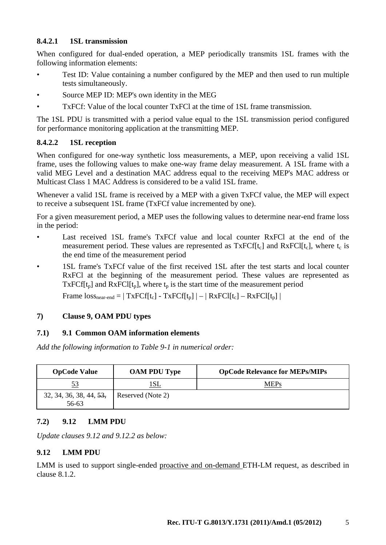#### **8.4.2.1 1SL transmission**

When configured for dual-ended operation, a MEP periodically transmits 1SL frames with the following information elements:

- Test ID: Value containing a number configured by the MEP and then used to run multiple tests simultaneously.
- Source MEP ID: MEP's own identity in the MEG
- TxFCf: Value of the local counter TxFCl at the time of 1SL frame transmission.

The 1SL PDU is transmitted with a period value equal to the 1SL transmission period configured for performance monitoring application at the transmitting MEP.

#### **8.4.2.2 1SL reception**

When configured for one-way synthetic loss measurements, a MEP, upon receiving a valid 1SL frame, uses the following values to make one-way frame delay measurement. A 1SL frame with a valid MEG Level and a destination MAC address equal to the receiving MEP's MAC address or Multicast Class 1 MAC Address is considered to be a valid 1SL frame.

Whenever a valid 1SL frame is received by a MEP with a given TxFCf value, the MEP will expect to receive a subsequent 1SL frame (TxFCf value incremented by one).

For a given measurement period, a MEP uses the following values to determine near-end frame loss in the period:

- Last received 1SL frame's TxFCf value and local counter RxFCl at the end of the measurement period. These values are represented as  $TxFCF[t_c]$  and  $RxFCI[t_c]$ , where  $t_c$  is the end time of the measurement period
- 1SL frame's TxFCf value of the first received 1SL after the test starts and local counter RxFCl at the beginning of the measurement period. These values are represented as  $TxFCf[t_p]$  and  $RxFCI[t_p]$ , where  $t_p$  is the start time of the measurement period

Frame  $loss_{near-end} = |$  TxFCf[t<sub>c</sub>] - TxFCf[t<sub>p</sub>]  $| - |$  RxFCl[t<sub>c</sub>] - RxFCl[t<sub>p</sub>]  $|$ 

#### **7) Clause 9, OAM PDU types**

#### **7.1) 9.1 Common OAM information elements**

*Add the following information to Table 9-1 in numerical order:* 

| <b>OpCode Value</b>              | <b>OAM PDU Type</b> | <b>OpCode Relevance for MEPs/MIPs</b> |
|----------------------------------|---------------------|---------------------------------------|
| 53                               | <u> 1SL</u>         | MEPs                                  |
| 32, 34, 36, 38, 44, 53,<br>56-63 | Reserved (Note 2)   |                                       |

## **7.2) 9.12 LMM PDU**

*Update clauses 9.12 and 9.12.2 as below:* 

#### **9.12 LMM PDU**

LMM is used to support single-ended proactive and on-demand ETH-LM request, as described in clause 8.1.2.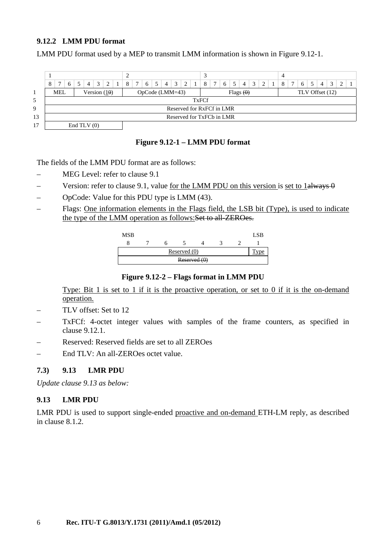#### **9.12.2 LMM PDU format**

LMM PDU format used by a MEP to transmit LMM information is shown in Figure 9.12-1.

|    |                          |               |                |   |                  |   |                |   |                           |              |   |        |             |   |   | 4 |   |                     |   |                |                |
|----|--------------------------|---------------|----------------|---|------------------|---|----------------|---|---------------------------|--------------|---|--------|-------------|---|---|---|---|---------------------|---|----------------|----------------|
|    | $\overline{ }$<br>8<br>6 | 4             | 3<br>2         | 8 | 6                | 5 | $\overline{4}$ | 3 | 2                         | 8            | 6 | $\sim$ | 4           | 3 | 2 | 8 | 6 | 5                   | 4 | $\mathfrak{Z}$ | $\overline{c}$ |
|    | <b>MEL</b>               |               | Version $(10)$ |   | $OpCode(LMM=43)$ |   |                |   |                           |              |   |        | Flags $(0)$ |   |   |   |   | $TLV$ Offset $(12)$ |   |                |                |
| 5  |                          |               |                |   |                  |   |                |   |                           | <b>TxFCf</b> |   |        |             |   |   |   |   |                     |   |                |                |
| 9  |                          |               |                |   |                  |   |                |   | Reserved for RxFCf in LMR |              |   |        |             |   |   |   |   |                     |   |                |                |
| 13 |                          |               |                |   |                  |   |                |   | Reserved for TxFCb in LMR |              |   |        |             |   |   |   |   |                     |   |                |                |
| 17 |                          | End TLV $(0)$ |                |   |                  |   |                |   |                           |              |   |        |             |   |   |   |   |                     |   |                |                |

#### **Figure 9.12-1 – LMM PDU format**

The fields of the LMM PDU format are as follows:

- MEG Level: refer to clause 9.1
- Version: refer to clause 9.1, value for the LMM PDU on this version is set to 1always 0
- OpCode: Value for this PDU type is LMM (43).
- Flags: One information elements in the Flags field, the LSB bit (Type), is used to indicate the type of the LMM operation as follows: Set to all-ZEROes.

| MSB |  |                |             |  | L SE |
|-----|--|----------------|-------------|--|------|
|     |  |                |             |  |      |
|     |  | Reserved $(0)$ |             |  |      |
|     |  |                | Reserved(0) |  |      |

| Figure 9.12-2 – Flags format in LMM PDU |  |  |  |
|-----------------------------------------|--|--|--|
|                                         |  |  |  |

Type: Bit 1 is set to 1 if it is the proactive operation, or set to 0 if it is the on-demand operation.

- TLV offset: Set to 12
- TxFCf: 4-octet integer values with samples of the frame counters, as specified in clause 9.12.1.
- Reserved: Reserved fields are set to all ZEROes
- End TLV: An all-ZEROes octet value.

#### **7.3) 9.13 LMR PDU**

*Update clause 9.13 as below:* 

#### **9.13 LMR PDU**

LMR PDU is used to support single-ended proactive and on-demand ETH-LM reply, as described in clause 8.1.2.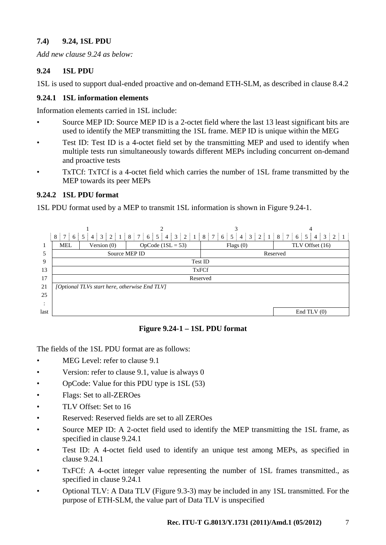### **7.4) 9.24, 1SL PDU**

*Add new clause 9.24 as below:* 

### **9.24 1SL PDU**

1SL is used to support dual-ended proactive and on-demand ETH-SLM, as described in clause 8.4.2

### **9.24.1 1SL information elements**

Information elements carried in 1SL include:

- Source MEP ID: Source MEP ID is a 2-octet field where the last 13 least significant bits are used to identify the MEP transmitting the 1SL frame. MEP ID is unique within the MEG
- Test ID: Test ID is a 4-octet field set by the transmitting MEP and used to identify when multiple tests run simultaneously towards different MEPs including concurrent on-demand and proactive tests
- TxTCf: TxTCf is a 4-octet field which carries the number of 1SL frame transmitted by the MEP towards its peer MEPs

### **9.24.2 1SL PDU format**

1SL PDU format used by a MEP to transmit 1SL information is shown in Figure 9.24-1.

|           | 7 <sup>1</sup><br>8 <sup>1</sup> |                                               | $6\begin{bmatrix} 5 & 4 & 3 & 2 & 1 & 8 & 7 & 6 & 5 & 4 & 3 & 2 & 1 & 8 & 7 & 6 & 5 & 4 & 3 & 2 & 1 & 8 & 7 & 6 & 5 & 4 & 3 & 2 & 1 & 8 & 7 & 6 & 5 & 4 & 3 & 2 & 1 & 1 & 8 & 7 & 6 & 5 & 4 & 3 & 2 & 1 & 1 & 8 & 7 & 6 & 5 & 4 & 3 & 2 & 1 & 1 & 8 & 7 & 6 & 5 & 4 & 3 & 2 & 1 & 1 & 8 & 7 & 6 & 5 & 6 & 5 &$ |             |                 |
|-----------|----------------------------------|-----------------------------------------------|----------------------------------------------------------------------------------------------------------------------------------------------------------------------------------------------------------------------------------------------------------------------------------------------------------------|-------------|-----------------|
|           | MEL                              | Version $(0)$                                 | OpCode $(1SL = 53)$                                                                                                                                                                                                                                                                                            | Flags $(0)$ | TLV Offset (16) |
| 5         |                                  |                                               | Source MEP ID                                                                                                                                                                                                                                                                                                  |             | Reserved        |
| 9         |                                  |                                               | Test ID                                                                                                                                                                                                                                                                                                        |             |                 |
| 13        |                                  |                                               |                                                                                                                                                                                                                                                                                                                | TxFCf       |                 |
| 17        |                                  |                                               | Reserved                                                                                                                                                                                                                                                                                                       |             |                 |
| 21        |                                  | [Optional TLVs start here, otherwise End TLV] |                                                                                                                                                                                                                                                                                                                |             |                 |
| 25        |                                  |                                               |                                                                                                                                                                                                                                                                                                                |             |                 |
| $\bullet$ |                                  |                                               |                                                                                                                                                                                                                                                                                                                |             |                 |
| last      |                                  |                                               |                                                                                                                                                                                                                                                                                                                |             | End TLV $(0)$   |

**Figure 9.24-1 – 1SL PDU format** 

The fields of the 1SL PDU format are as follows:

- MEG Level: refer to clause 9.1
- Version: refer to clause 9.1, value is always 0
- OpCode: Value for this PDU type is 1SL (53)
- Flags: Set to all-ZEROes
- TLV Offset: Set to 16
- Reserved: Reserved fields are set to all ZEROes
- Source MEP ID: A 2-octet field used to identify the MEP transmitting the 1SL frame, as specified in clause 9.24.1
- Test ID: A 4-octet field used to identify an unique test among MEPs, as specified in clause 9.24.1
- TxFCf: A 4-octet integer value representing the number of 1SL frames transmitted., as specified in clause 9.24.1
- Optional TLV: A Data TLV (Figure 9.3-3) may be included in any 1SL transmitted. For the purpose of ETH-SLM, the value part of Data TLV is unspecified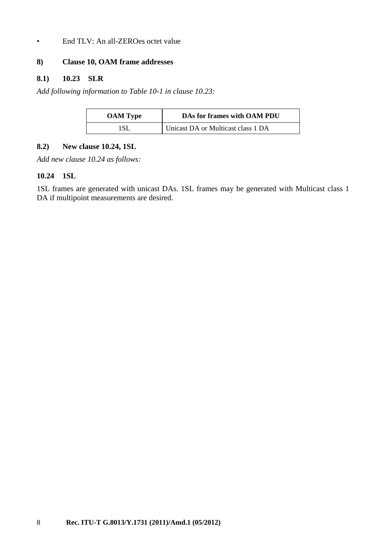#### • End TLV: An all-ZEROes octet value

#### **8) Clause 10, OAM frame addresses**

#### **8.1) 10.23 SLR**

*Add following information to Table 10-1 in clause 10.23:* 

| <b>OAM</b> Type | DAs for frames with OAM PDU        |
|-----------------|------------------------------------|
| 1SL             | Unicast DA or Multicast class 1 DA |

#### **8.2) New clause 10.24, 1SL**

*Add new clause 10.24 as follows:* 

#### **10.24 1SL**

1SL frames are generated with unicast DAs. 1SL frames may be generated with Multicast class 1 DA if multipoint measurements are desired.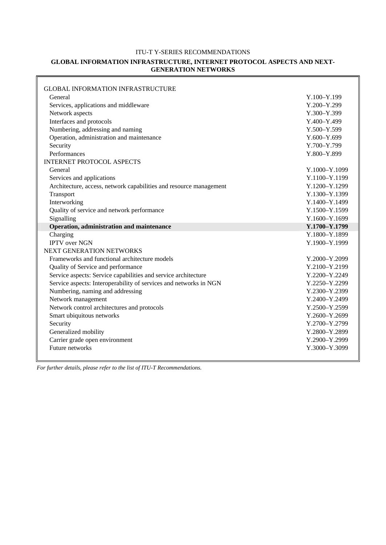#### ITU-T Y-SERIES RECOMMENDATIONS

#### **GLOBAL INFORMATION INFRASTRUCTURE, INTERNET PROTOCOL ASPECTS AND NEXT-GENERATION NETWORKS**

| <b>GLOBAL INFORMATION INFRASTRUCTURE</b>                           |                 |
|--------------------------------------------------------------------|-----------------|
| General                                                            | $Y.100 - Y.199$ |
| Services, applications and middleware                              | $Y.200 - Y.299$ |
| Network aspects                                                    | Y.300-Y.399     |
| Interfaces and protocols                                           | $Y.400 - Y.499$ |
| Numbering, addressing and naming                                   | $Y.500 - Y.599$ |
| Operation, administration and maintenance                          | $Y.600 - Y.699$ |
| Security                                                           | $Y.700 - Y.799$ |
| Performances                                                       | Y.800-Y.899     |
| <b>INTERNET PROTOCOL ASPECTS</b>                                   |                 |
| General                                                            | Y.1000-Y.1099   |
| Services and applications                                          | Y.1100-Y.1199   |
| Architecture, access, network capabilities and resource management | Y.1200-Y.1299   |
| Transport                                                          | Y.1300-Y.1399   |
| Interworking                                                       | Y.1400-Y.1499   |
| Quality of service and network performance                         | Y.1500-Y.1599   |
| Signalling                                                         | Y.1600-Y.1699   |
|                                                                    |                 |
| Operation, administration and maintenance                          | Y.1700-Y.1799   |
| Charging                                                           | Y.1800-Y.1899   |
| <b>IPTV</b> over NGN                                               | Y.1900-Y.1999   |
| NEXT GENERATION NETWORKS                                           |                 |
| Frameworks and functional architecture models                      | Y.2000-Y.2099   |
| Quality of Service and performance                                 | Y.2100-Y.2199   |
| Service aspects: Service capabilities and service architecture     | Y.2200-Y.2249   |
| Service aspects: Interoperability of services and networks in NGN  | Y.2250-Y.2299   |
| Numbering, naming and addressing                                   | Y.2300-Y.2399   |
| Network management                                                 | Y.2400-Y.2499   |
| Network control architectures and protocols                        | Y.2500-Y.2599   |
| Smart ubiquitous networks                                          | Y.2600-Y.2699   |
| Security                                                           | Y.2700-Y.2799   |
| Generalized mobility                                               | Y.2800-Y.2899   |
| Carrier grade open environment                                     | Y.2900-Y.2999   |
| Future networks                                                    | Y.3000-Y.3099   |

*For further details, please refer to the list of ITU-T Recommendations.*